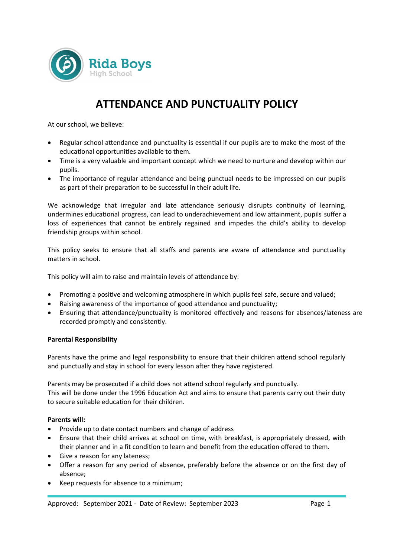

# **ATTENDANCE AND PUNCTUALITY POLICY**

At our school, we believe:

- Regular school attendance and punctuality is essential if our pupils are to make the most of the educational opportunities available to them.
- Time is a very valuable and important concept which we need to nurture and develop within our pupils.
- The importance of regular attendance and being punctual needs to be impressed on our pupils as part of their preparation to be successful in their adult life.

We acknowledge that irregular and late attendance seriously disrupts continuity of learning, undermines educational progress, can lead to underachievement and low attainment, pupils suffer a loss of experiences that cannot be entirely regained and impedes the child's ability to develop friendship groups within school.

This policy seeks to ensure that all staffs and parents are aware of attendance and punctuality matters in school.

This policy will aim to raise and maintain levels of attendance by:

- Promoting a positive and welcoming atmosphere in which pupils feel safe, secure and valued;
- Raising awareness of the importance of good attendance and punctuality;
- Ensuring that attendance/punctuality is monitored effectively and reasons for absences/lateness are recorded promptly and consistently.

#### **Parental Responsibility**

Parents have the prime and legal responsibility to ensure that their children attend school regularly and punctually and stay in school for every lesson after they have registered.

Parents may be prosecuted if a child does not attend school regularly and punctually. This will be done under the 1996 Education Act and aims to ensure that parents carry out their duty to secure suitable education for their children.

#### **Parents will:**

- Provide up to date contact numbers and change of address
- Ensure that their child arrives at school on time, with breakfast, is appropriately dressed, with their planner and in a fit condition to learn and benefit from the education offered to them.
- Give a reason for any lateness;
- Offer a reason for any period of absence, preferably before the absence or on the first day of absence;
- Keep requests for absence to a minimum;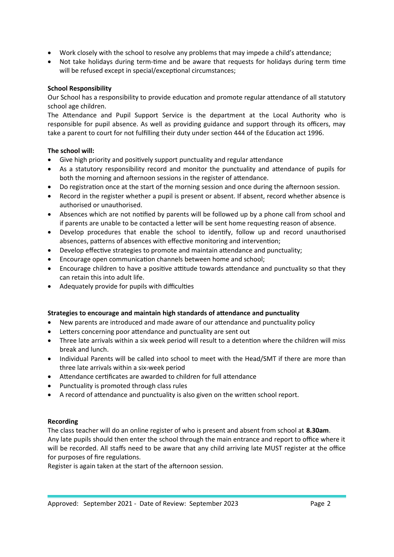- Work closely with the school to resolve any problems that may impede a child's attendance;
- Not take holidays during term-time and be aware that requests for holidays during term time will be refused except in special/exceptional circumstances;

## **School Responsibility**

Our School has a responsibility to provide education and promote regular attendance of all statutory school age children.

The Attendance and Pupil Support Service is the department at the Local Authority who is responsible for pupil absence. As well as providing guidance and support through its officers, may take a parent to court for not fulfilling their duty under section 444 of the Education act 1996.

## **The school will:**

- Give high priority and positively support punctuality and regular attendance
- As a statutory responsibility record and monitor the punctuality and attendance of pupils for both the morning and afternoon sessions in the register of attendance.
- Do registration once at the start of the morning session and once during the afternoon session.
- Record in the register whether a pupil is present or absent. If absent, record whether absence is authorised or unauthorised.
- Absences which are not notified by parents will be followed up by a phone call from school and if parents are unable to be contacted a letter will be sent home requesting reason of absence.
- Develop procedures that enable the school to identify, follow up and record unauthorised absences, patterns of absences with effective monitoring and intervention;
- Develop effective strategies to promote and maintain attendance and punctuality;
- Encourage open communication channels between home and school;
- Encourage children to have a positive attitude towards attendance and punctuality so that they can retain this into adult life.
- Adequately provide for pupils with difficulties

## **Strategies to encourage and maintain high standards of attendance and punctuality**

- New parents are introduced and made aware of our attendance and punctuality policy
- Letters concerning poor attendance and punctuality are sent out
- Three late arrivals within a six week period will result to a detention where the children will miss break and lunch.
- Individual Parents will be called into school to meet with the Head/SMT if there are more than three late arrivals within a six-week period
- Attendance certificates are awarded to children for full attendance
- Punctuality is promoted through class rules
- A record of attendance and punctuality is also given on the written school report.

## **Recording**

The class teacher will do an online register of who is present and absent from school at **8.30am**. Any late pupils should then enter the school through the main entrance and report to office where it will be recorded. All staffs need to be aware that any child arriving late MUST register at the office for purposes of fire regulations.

Register is again taken at the start of the afternoon session.